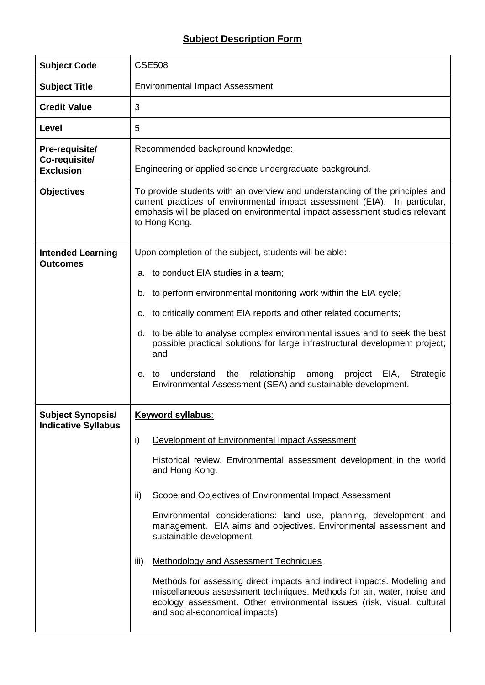## **Subject Description Form**

| <b>Subject Code</b>                                    | <b>CSE508</b>                                                                                                                                                                                                                                                                                                                                                                                                                                                                                                                                                                                                                                                                                                                                |  |  |  |  |
|--------------------------------------------------------|----------------------------------------------------------------------------------------------------------------------------------------------------------------------------------------------------------------------------------------------------------------------------------------------------------------------------------------------------------------------------------------------------------------------------------------------------------------------------------------------------------------------------------------------------------------------------------------------------------------------------------------------------------------------------------------------------------------------------------------------|--|--|--|--|
| <b>Subject Title</b>                                   | <b>Environmental Impact Assessment</b>                                                                                                                                                                                                                                                                                                                                                                                                                                                                                                                                                                                                                                                                                                       |  |  |  |  |
| <b>Credit Value</b>                                    | 3                                                                                                                                                                                                                                                                                                                                                                                                                                                                                                                                                                                                                                                                                                                                            |  |  |  |  |
| Level                                                  | 5                                                                                                                                                                                                                                                                                                                                                                                                                                                                                                                                                                                                                                                                                                                                            |  |  |  |  |
| Pre-requisite/<br>Co-requisite/<br><b>Exclusion</b>    | Recommended background knowledge:<br>Engineering or applied science undergraduate background.                                                                                                                                                                                                                                                                                                                                                                                                                                                                                                                                                                                                                                                |  |  |  |  |
| <b>Objectives</b>                                      | To provide students with an overview and understanding of the principles and<br>current practices of environmental impact assessment (EIA). In particular,<br>emphasis will be placed on environmental impact assessment studies relevant<br>to Hong Kong.                                                                                                                                                                                                                                                                                                                                                                                                                                                                                   |  |  |  |  |
| <b>Intended Learning</b><br><b>Outcomes</b>            | Upon completion of the subject, students will be able:                                                                                                                                                                                                                                                                                                                                                                                                                                                                                                                                                                                                                                                                                       |  |  |  |  |
|                                                        | a. to conduct EIA studies in a team;<br>b. to perform environmental monitoring work within the EIA cycle;<br>c. to critically comment EIA reports and other related documents;<br>d. to be able to analyse complex environmental issues and to seek the best<br>possible practical solutions for large infrastructural development project;<br>and<br>relationship among project EIA,<br>understand<br>the<br><b>Strategic</b><br>e. to<br>Environmental Assessment (SEA) and sustainable development.                                                                                                                                                                                                                                       |  |  |  |  |
| <b>Subject Synopsis/</b><br><b>Indicative Syllabus</b> | <b>Keyword syllabus:</b><br>i)<br>Development of Environmental Impact Assessment<br>Historical review. Environmental assessment development in the world<br>and Hong Kong.<br>ii)<br>Scope and Objectives of Environmental Impact Assessment<br>Environmental considerations: land use, planning, development and<br>management. EIA aims and objectives. Environmental assessment and<br>sustainable development.<br>iii)<br><b>Methodology and Assessment Techniques</b><br>Methods for assessing direct impacts and indirect impacts. Modeling and<br>miscellaneous assessment techniques. Methods for air, water, noise and<br>ecology assessment. Other environmental issues (risk, visual, cultural<br>and social-economical impacts). |  |  |  |  |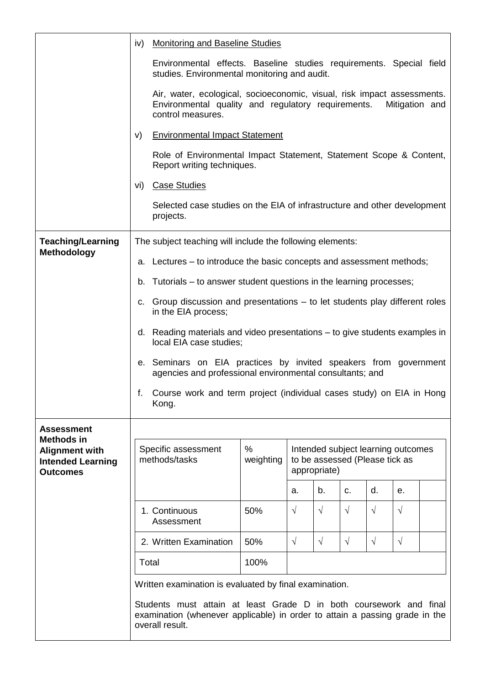|                                                                                           | iv)                                                                   |                                                                                                                                                    | Monitoring and Baseline Studies |                                                                                      |            |            |            |                |  |
|-------------------------------------------------------------------------------------------|-----------------------------------------------------------------------|----------------------------------------------------------------------------------------------------------------------------------------------------|---------------------------------|--------------------------------------------------------------------------------------|------------|------------|------------|----------------|--|
|                                                                                           |                                                                       | Environmental effects. Baseline studies requirements. Special field<br>studies. Environmental monitoring and audit.                                |                                 |                                                                                      |            |            |            |                |  |
|                                                                                           |                                                                       | Air, water, ecological, socioeconomic, visual, risk impact assessments.<br>Environmental quality and regulatory requirements.<br>control measures. |                                 |                                                                                      |            |            |            | Mitigation and |  |
|                                                                                           | V)                                                                    | <b>Environmental Impact Statement</b>                                                                                                              |                                 |                                                                                      |            |            |            |                |  |
|                                                                                           |                                                                       | Role of Environmental Impact Statement, Statement Scope & Content,<br>Report writing techniques.                                                   |                                 |                                                                                      |            |            |            |                |  |
|                                                                                           |                                                                       | vi) Case Studies                                                                                                                                   |                                 |                                                                                      |            |            |            |                |  |
|                                                                                           |                                                                       | Selected case studies on the EIA of infrastructure and other development<br>projects.                                                              |                                 |                                                                                      |            |            |            |                |  |
| <b>Teaching/Learning</b><br><b>Methodology</b>                                            | The subject teaching will include the following elements:             |                                                                                                                                                    |                                 |                                                                                      |            |            |            |                |  |
|                                                                                           | a. Lectures – to introduce the basic concepts and assessment methods; |                                                                                                                                                    |                                 |                                                                                      |            |            |            |                |  |
|                                                                                           |                                                                       | b. Tutorials – to answer student questions in the learning processes;                                                                              |                                 |                                                                                      |            |            |            |                |  |
|                                                                                           |                                                                       | c. Group discussion and presentations – to let students play different roles<br>in the EIA process;                                                |                                 |                                                                                      |            |            |            |                |  |
|                                                                                           |                                                                       | d. Reading materials and video presentations – to give students examples in<br>local EIA case studies;                                             |                                 |                                                                                      |            |            |            |                |  |
|                                                                                           |                                                                       | e. Seminars on EIA practices by invited speakers from government<br>agencies and professional environmental consultants; and                       |                                 |                                                                                      |            |            |            |                |  |
|                                                                                           | f.                                                                    | Course work and term project (individual cases study) on EIA in Hong<br>Kong.                                                                      |                                 |                                                                                      |            |            |            |                |  |
| <b>Assessment</b>                                                                         |                                                                       |                                                                                                                                                    |                                 |                                                                                      |            |            |            |                |  |
| <b>Methods in</b><br><b>Alignment with</b><br><b>Intended Learning</b><br><b>Outcomes</b> |                                                                       | Specific assessment<br>methods/tasks                                                                                                               | $\%$<br>weighting               | Intended subject learning outcomes<br>to be assessed (Please tick as<br>appropriate) |            |            |            |                |  |
|                                                                                           |                                                                       |                                                                                                                                                    |                                 | a.                                                                                   | b.         | C.         | d.         | е.             |  |
|                                                                                           |                                                                       | 1. Continuous<br>Assessment                                                                                                                        | 50%                             | $\sqrt{ }$                                                                           | $\sqrt{ }$ | $\sqrt{ }$ | $\sqrt{ }$ | $\sqrt{ }$     |  |
|                                                                                           |                                                                       | 2. Written Examination                                                                                                                             | 50%                             | $\sqrt{ }$                                                                           | $\sqrt{}$  | $\sqrt{}$  | $\sqrt{}$  | $\sqrt{ }$     |  |
|                                                                                           |                                                                       | Total                                                                                                                                              | 100%                            |                                                                                      |            |            |            |                |  |
|                                                                                           |                                                                       | Written examination is evaluated by final examination.                                                                                             |                                 |                                                                                      |            |            |            |                |  |
|                                                                                           |                                                                       | Students must attain at least Grade D in both coursework and final                                                                                 |                                 |                                                                                      |            |            |            |                |  |
|                                                                                           |                                                                       | examination (whenever applicable) in order to attain a passing grade in the<br>overall result.                                                     |                                 |                                                                                      |            |            |            |                |  |